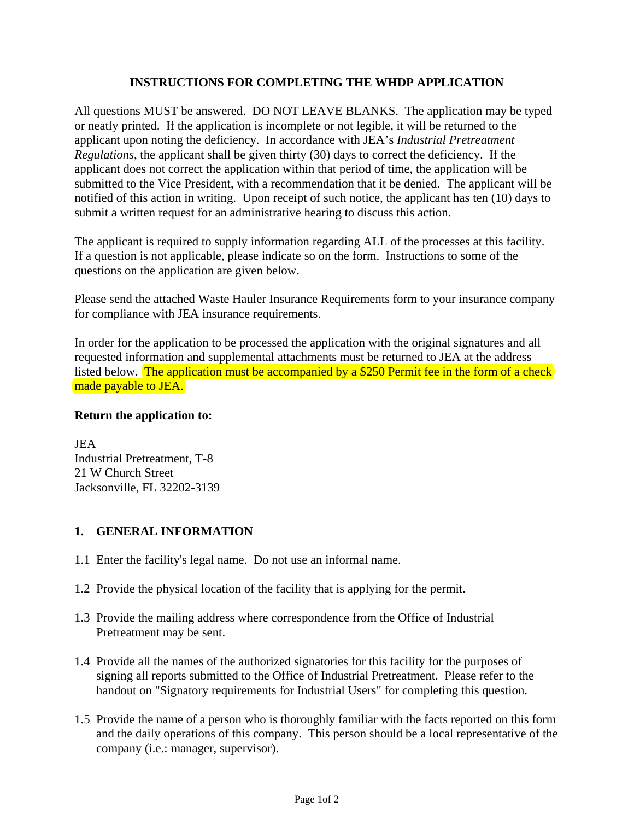#### **INSTRUCTIONS FOR COMPLETING THE WHDP APPLICATION**

All questions MUST be answered. DO NOT LEAVE BLANKS. The application may be typed or neatly printed. If the application is incomplete or not legible, it will be returned to the applicant upon noting the deficiency. In accordance with JEA's *Industrial Pretreatment Regulations*, the applicant shall be given thirty (30) days to correct the deficiency. If the applicant does not correct the application within that period of time, the application will be submitted to the Vice President, with a recommendation that it be denied. The applicant will be notified of this action in writing. Upon receipt of such notice, the applicant has ten (10) days to submit a written request for an administrative hearing to discuss this action.

The applicant is required to supply information regarding ALL of the processes at this facility. If a question is not applicable, please indicate so on the form. Instructions to some of the questions on the application are given below.

Please send the attached Waste Hauler Insurance Requirements form to your insurance company for compliance with JEA insurance requirements.

In order for the application to be processed the application with the original signatures and all requested information and supplemental attachments must be returned to JEA at the address listed below. The application must be accompanied by a \$250 Permit fee in the form of a check made payable to JEA.

#### **Return the application to:**

JEA Industrial Pretreatment, T-8 21 W Church Street Jacksonville, FL 32202-3139

#### **1. GENERAL INFORMATION**

- 1.1 Enter the facility's legal name. Do not use an informal name.
- 1.2 Provide the physical location of the facility that is applying for the permit.
- 1.3 Provide the mailing address where correspondence from the Office of Industrial Pretreatment may be sent.
- 1.4 Provide all the names of the authorized signatories for this facility for the purposes of signing all reports submitted to the Office of Industrial Pretreatment. Please refer to the handout on "Signatory requirements for Industrial Users" for completing this question.
- 1.5 Provide the name of a person who is thoroughly familiar with the facts reported on this form and the daily operations of this company. This person should be a local representative of the company (i.e.: manager, supervisor).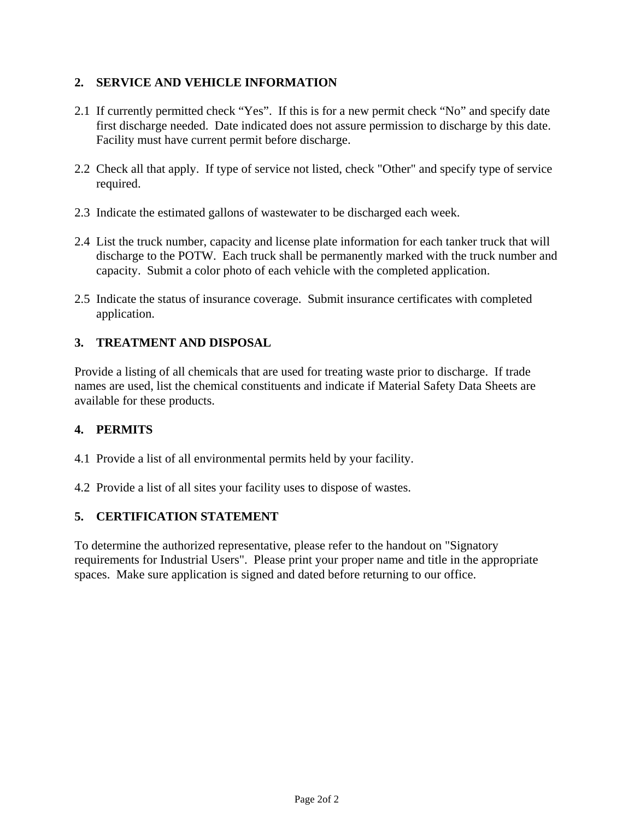### **2. SERVICE AND VEHICLE INFORMATION**

- 2.1 If currently permitted check "Yes". If this is for a new permit check "No" and specify date first discharge needed. Date indicated does not assure permission to discharge by this date. Facility must have current permit before discharge.
- 2.2 Check all that apply. If type of service not listed, check "Other" and specify type of service required.
- 2.3 Indicate the estimated gallons of wastewater to be discharged each week.
- 2.4 List the truck number, capacity and license plate information for each tanker truck that will discharge to the POTW. Each truck shall be permanently marked with the truck number and capacity. Submit a color photo of each vehicle with the completed application.
- 2.5 Indicate the status of insurance coverage. Submit insurance certificates with completed application.

## **3. TREATMENT AND DISPOSAL**

Provide a listing of all chemicals that are used for treating waste prior to discharge. If trade names are used, list the chemical constituents and indicate if Material Safety Data Sheets are available for these products.

#### **4. PERMITS**

- 4.1 Provide a list of all environmental permits held by your facility.
- 4.2 Provide a list of all sites your facility uses to dispose of wastes.

#### **5. CERTIFICATION STATEMENT**

To determine the authorized representative, please refer to the handout on "Signatory requirements for Industrial Users". Please print your proper name and title in the appropriate spaces. Make sure application is signed and dated before returning to our office.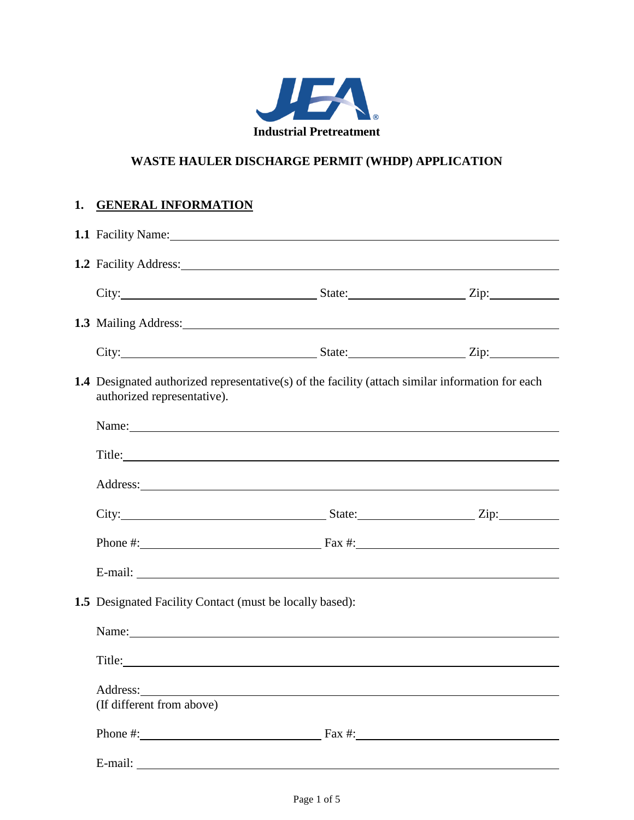

# **WASTE HAULER DISCHARGE PERMIT (WHDP) APPLICATION**

# **1. GENERAL INFORMATION**

|                                                                 |                                                       | 1.1 Facility Name: 1.1 Facility Name:                                                                                                                                                                                                |  |  |
|-----------------------------------------------------------------|-------------------------------------------------------|--------------------------------------------------------------------------------------------------------------------------------------------------------------------------------------------------------------------------------------|--|--|
|                                                                 | 1.2 Facility Address: No. 1.2 Facility Address:       |                                                                                                                                                                                                                                      |  |  |
|                                                                 |                                                       |                                                                                                                                                                                                                                      |  |  |
|                                                                 |                                                       |                                                                                                                                                                                                                                      |  |  |
|                                                                 |                                                       |                                                                                                                                                                                                                                      |  |  |
|                                                                 | authorized representative).                           | <b>1.4</b> Designated authorized representative(s) of the facility (attach similar information for each                                                                                                                              |  |  |
|                                                                 |                                                       | Name: Name and the set of the set of the set of the set of the set of the set of the set of the set of the set of the set of the set of the set of the set of the set of the set of the set of the set of the set of the set o       |  |  |
|                                                                 |                                                       | Title:                                                                                                                                                                                                                               |  |  |
|                                                                 |                                                       | Address: <u>and the contract of the contract of the contract of the contract of the contract of the contract of the contract of the contract of the contract of the contract of the contract of the contract of the contract of </u> |  |  |
|                                                                 |                                                       |                                                                                                                                                                                                                                      |  |  |
|                                                                 |                                                       |                                                                                                                                                                                                                                      |  |  |
|                                                                 |                                                       | E-mail: No. 2014. The mail: No. 2014. The mail: No. 2014. The mail: No. 2014. The mail: No. 2014. The mail: No. 2014. The mail: No. 2014. The mail: No. 2014. The mail: No. 2014. The mail: No. 2014. The mail: No. 2014. The        |  |  |
| <b>1.5</b> Designated Facility Contact (must be locally based): |                                                       |                                                                                                                                                                                                                                      |  |  |
|                                                                 |                                                       | Name: Name and the set of the set of the set of the set of the set of the set of the set of the set of the set of the set of the set of the set of the set of the set of the set of the set of the set of the set of the set o       |  |  |
|                                                                 |                                                       | Title:                                                                                                                                                                                                                               |  |  |
|                                                                 | Address:                                              |                                                                                                                                                                                                                                      |  |  |
|                                                                 | (If different from above)                             |                                                                                                                                                                                                                                      |  |  |
|                                                                 |                                                       | Phone #: $\frac{1}{2}$ Fax #: $\frac{1}{2}$ Fax #:                                                                                                                                                                                   |  |  |
|                                                                 | E-mail:<br><u> 1989 - Johann John Stone, markin f</u> |                                                                                                                                                                                                                                      |  |  |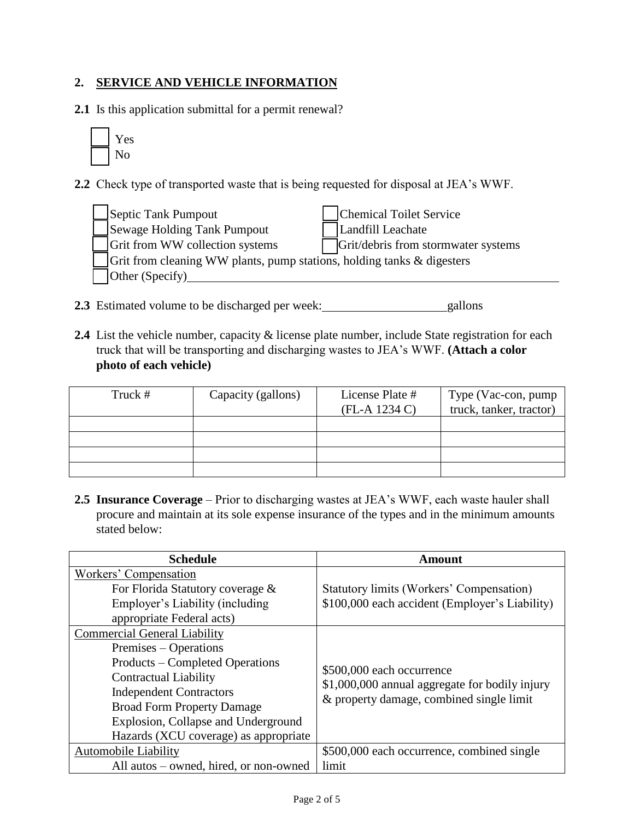#### **2. SERVICE AND VEHICLE INFORMATION**

**2.1** Is this application submittal for a permit renewal?



**2.2** Check type of transported waste that is being requested for disposal at JEA's WWF.



- **2.3** Estimated volume to be discharged per week: gallons
- **2.4** List the vehicle number, capacity & license plate number, include State registration for each truck that will be transporting and discharging wastes to JEA's WWF. **(Attach a color photo of each vehicle)**

| Truck # | Capacity (gallons) | License Plate #<br>$(FL-A 1234 C)$ | Type (Vac-con, pump<br>truck, tanker, tractor) |
|---------|--------------------|------------------------------------|------------------------------------------------|
|         |                    |                                    |                                                |
|         |                    |                                    |                                                |
|         |                    |                                    |                                                |
|         |                    |                                    |                                                |

**2.5 Insurance Coverage** – Prior to discharging wastes at JEA's WWF, each waste hauler shall procure and maintain at its sole expense insurance of the types and in the minimum amounts stated below:

| <b>Schedule</b>                                                                                                                        | Amount                                                                                                                  |                                       |                                            |
|----------------------------------------------------------------------------------------------------------------------------------------|-------------------------------------------------------------------------------------------------------------------------|---------------------------------------|--------------------------------------------|
| Workers' Compensation                                                                                                                  |                                                                                                                         |                                       |                                            |
| For Florida Statutory coverage &                                                                                                       | Statutory limits (Workers' Compensation)                                                                                |                                       |                                            |
| Employer's Liability (including                                                                                                        | \$100,000 each accident (Employer's Liability)                                                                          |                                       |                                            |
| appropriate Federal acts)                                                                                                              |                                                                                                                         |                                       |                                            |
| <b>Commercial General Liability</b>                                                                                                    |                                                                                                                         |                                       |                                            |
| Premises – Operations                                                                                                                  |                                                                                                                         |                                       |                                            |
| Products – Completed Operations<br><b>Contractual Liability</b><br><b>Independent Contractors</b><br><b>Broad Form Property Damage</b> | \$500,000 each occurrence<br>\$1,000,000 annual aggregate for bodily injury<br>& property damage, combined single limit |                                       |                                            |
|                                                                                                                                        |                                                                                                                         | Explosion, Collapse and Underground   |                                            |
|                                                                                                                                        |                                                                                                                         | Hazards (XCU coverage) as appropriate |                                            |
|                                                                                                                                        |                                                                                                                         | <b>Automobile Liability</b>           | \$500,000 each occurrence, combined single |
| All autos – owned, hired, or non-owned                                                                                                 | limit                                                                                                                   |                                       |                                            |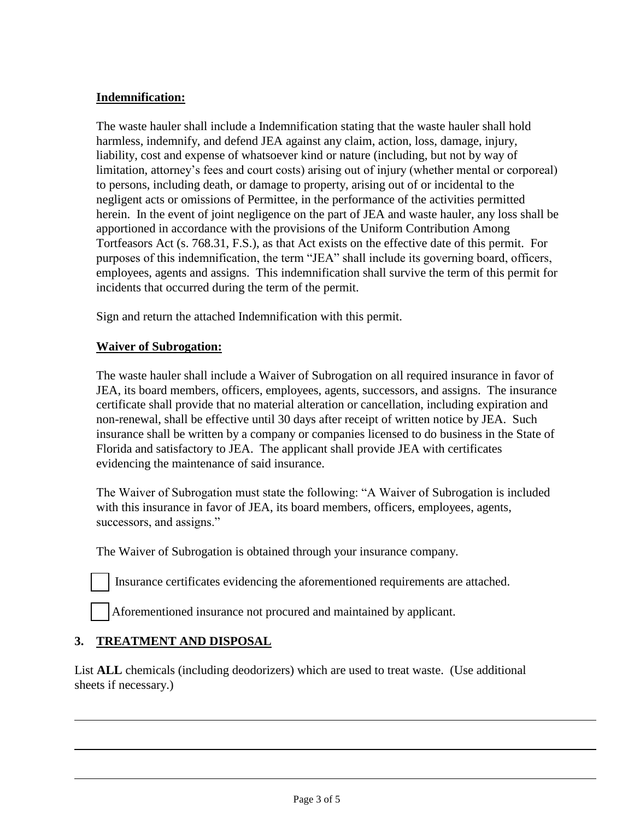### **Indemnification:**

The waste hauler shall include a Indemnification stating that the waste hauler shall hold harmless, indemnify, and defend JEA against any claim, action, loss, damage, injury, liability, cost and expense of whatsoever kind or nature (including, but not by way of limitation, attorney's fees and court costs) arising out of injury (whether mental or corporeal) to persons, including death, or damage to property, arising out of or incidental to the negligent acts or omissions of Permittee, in the performance of the activities permitted herein. In the event of joint negligence on the part of JEA and waste hauler, any loss shall be apportioned in accordance with the provisions of the Uniform Contribution Among Tortfeasors Act (s. 768.31, F.S.), as that Act exists on the effective date of this permit. For purposes of this indemnification, the term "JEA" shall include its governing board, officers, employees, agents and assigns. This indemnification shall survive the term of this permit for incidents that occurred during the term of the permit.

Sign and return the attached Indemnification with this permit.

## **Waiver of Subrogation:**

The waste hauler shall include a Waiver of Subrogation on all required insurance in favor of JEA, its board members, officers, employees, agents, successors, and assigns. The insurance certificate shall provide that no material alteration or cancellation, including expiration and non-renewal, shall be effective until 30 days after receipt of written notice by JEA. Such insurance shall be written by a company or companies licensed to do business in the State of Florida and satisfactory to JEA. The applicant shall provide JEA with certificates evidencing the maintenance of said insurance.

The Waiver of Subrogation must state the following: "A Waiver of Subrogation is included with this insurance in favor of JEA, its board members, officers, employees, agents, successors, and assigns."

The Waiver of Subrogation is obtained through your insurance company.

Insurance certificates evidencing the aforementioned requirements are attached.

Aforementioned insurance not procured and maintained by applicant.

## **3. TREATMENT AND DISPOSAL**

List **ALL** chemicals (including deodorizers) which are used to treat waste. (Use additional sheets if necessary.)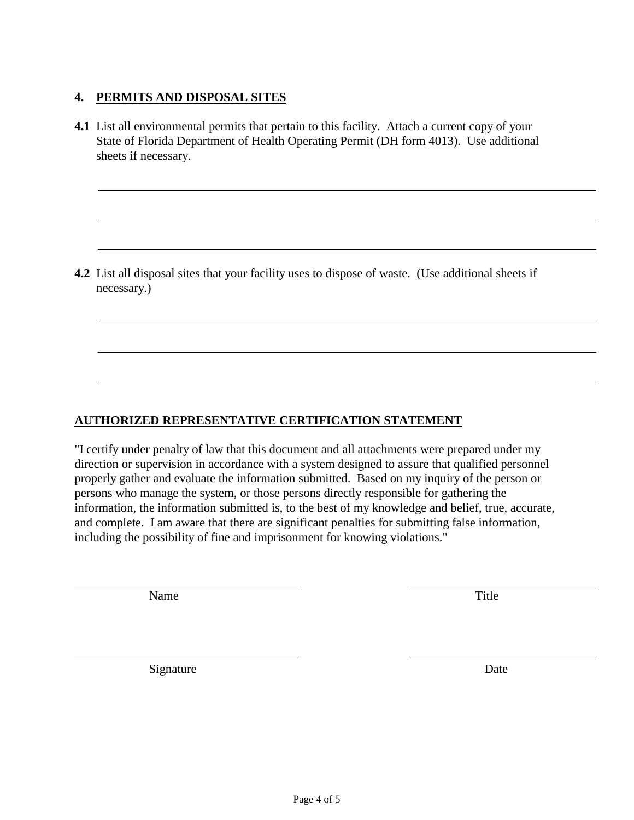### **4. PERMITS AND DISPOSAL SITES**

**4.1** List all environmental permits that pertain to this facility. Attach a current copy of your State of Florida Department of Health Operating Permit (DH form 4013). Use additional sheets if necessary.

**4.2** List all disposal sites that your facility uses to dispose of waste. (Use additional sheets if necessary.)

## **AUTHORIZED REPRESENTATIVE CERTIFICATION STATEMENT**

"I certify under penalty of law that this document and all attachments were prepared under my direction or supervision in accordance with a system designed to assure that qualified personnel properly gather and evaluate the information submitted. Based on my inquiry of the person or persons who manage the system, or those persons directly responsible for gathering the information, the information submitted is, to the best of my knowledge and belief, true, accurate, and complete. I am aware that there are significant penalties for submitting false information, including the possibility of fine and imprisonment for knowing violations."

Name Title

Signature Date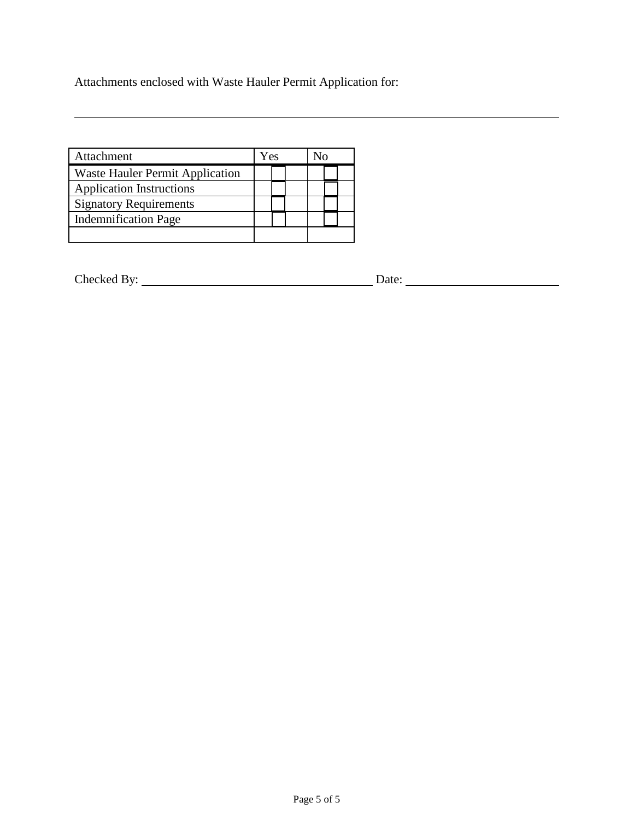Attachments enclosed with Waste Hauler Permit Application for:

| Attachment                             | Yes | N٥ |
|----------------------------------------|-----|----|
| <b>Waste Hauler Permit Application</b> |     |    |
| <b>Application Instructions</b>        |     |    |
| <b>Signatory Requirements</b>          |     |    |
| <b>Indemnification Page</b>            |     |    |
|                                        |     |    |

| Checked By: | Date: |
|-------------|-------|
|             |       |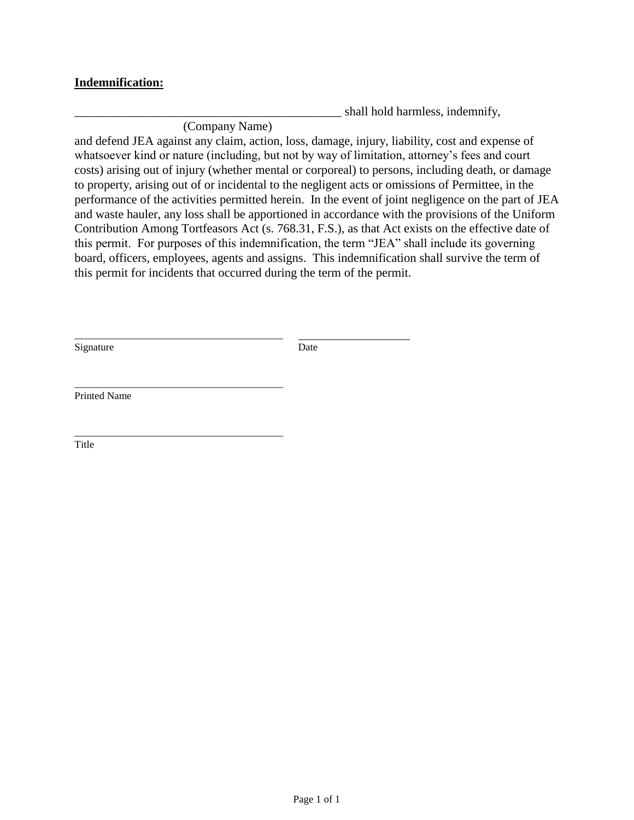#### **Indemnification:**

(Company Name)

shall hold harmless, indemnify,

and defend JEA against any claim, action, loss, damage, injury, liability, cost and expense of whatsoever kind or nature (including, but not by way of limitation, attorney's fees and court costs) arising out of injury (whether mental or corporeal) to persons, including death, or damage to property, arising out of or incidental to the negligent acts or omissions of Permittee, in the performance of the activities permitted herein. In the event of joint negligence on the part of JEA and waste hauler, any loss shall be apportioned in accordance with the provisions of the Uniform Contribution Among Tortfeasors Act (s. 768.31, F.S.), as that Act exists on the effective date of this permit. For purposes of this indemnification, the term "JEA" shall include its governing board, officers, employees, agents and assigns. This indemnification shall survive the term of this permit for incidents that occurred during the term of the permit.

Signature Date

\_\_\_\_\_\_\_\_\_\_\_\_\_\_\_\_\_\_\_\_\_\_\_\_\_\_\_\_\_\_\_\_\_\_\_\_\_\_\_\_

\_\_\_\_\_\_\_\_\_\_\_\_\_\_\_\_\_\_\_\_\_\_\_\_\_\_\_\_\_\_\_\_\_\_\_\_\_\_\_\_

\_\_\_\_\_\_\_\_\_\_\_\_\_\_\_\_\_\_\_\_\_\_\_\_\_\_\_\_\_\_\_\_\_\_\_\_\_\_\_\_ Printed Name

Title